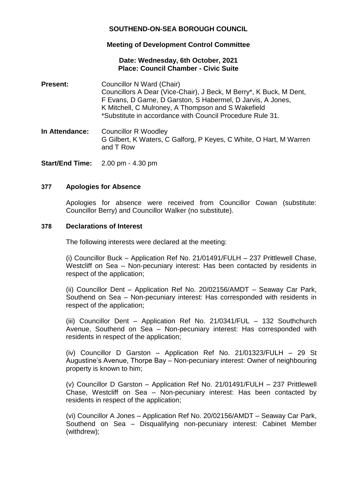# **SOUTHEND-ON-SEA BOROUGH COUNCIL**

# **Meeting of Development Control Committee**

## **Date: Wednesday, 6th October, 2021 Place: Council Chamber - Civic Suite**

- **Present:** Councillor N Ward (Chair) Councillors A Dear (Vice-Chair), J Beck, M Berry\*, K Buck, M Dent, F Evans, D Garne, D Garston, S Habermel, D Jarvis, A Jones, K Mitchell, C Mulroney, A Thompson and S Wakefield \*Substitute in accordance with Council Procedure Rule 31.
- **In Attendance:** Councillor R Woodley G Gilbert, K Waters, C Galforg, P Keyes, C White, O Hart, M Warren and T Row

**Start/End Time:** 2.00 pm - 4.30 pm

## **377 Apologies for Absence**

Apologies for absence were received from Councillor Cowan (substitute: Councillor Berry) and Councillor Walker (no substitute).

#### **378 Declarations of Interest**

The following interests were declared at the meeting:

(i) Councillor Buck – Application Ref No. 21/01491/FULH – 237 Prittlewell Chase, Westcliff on Sea – Non-pecuniary interest: Has been contacted by residents in respect of the application;

(ii) Councillor Dent – Application Ref No. 20/02156/AMDT – Seaway Car Park, Southend on Sea – Non-pecuniary interest: Has corresponded with residents in respect of the application;

(iii) Councillor Dent – Application Ref No. 21/0341/FUL – 132 Southchurch Avenue, Southend on Sea – Non-pecuniary interest: Has corresponded with residents in respect of the application;

(iv) Councillor D Garston – Application Ref No. 21/01323/FULH – 29 St Augustine's Avenue, Thorpe Bay – Non-pecuniary interest: Owner of neighbouring property is known to him;

(v) Councillor D Garston – Application Ref No. 21/01491/FULH – 237 Prittlewell Chase, Westcliff on Sea – Non-pecuniary interest: Has been contacted by residents in respect of the application;

(vi) Councillor A Jones – Application Ref No. 20/02156/AMDT – Seaway Car Park, Southend on Sea – Disqualifying non-pecuniary interest: Cabinet Member (withdrew);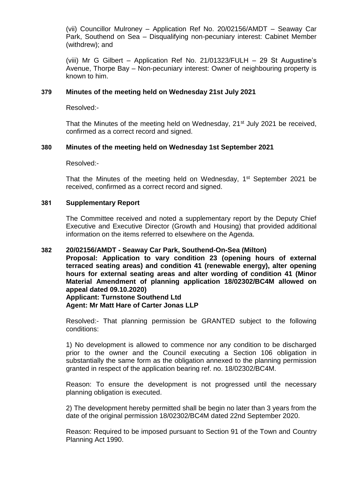(vii) Councillor Mulroney – Application Ref No. 20/02156/AMDT – Seaway Car Park, Southend on Sea – Disqualifying non-pecuniary interest: Cabinet Member (withdrew); and

(viii) Mr G Gilbert – Application Ref No. 21/01323/FULH – 29 St Augustine's Avenue, Thorpe Bay – Non-pecuniary interest: Owner of neighbouring property is known to him.

### **379 Minutes of the meeting held on Wednesday 21st July 2021**

Resolved:-

That the Minutes of the meeting held on Wednesday, 21<sup>st</sup> July 2021 be received, confirmed as a correct record and signed.

## **380 Minutes of the meeting held on Wednesday 1st September 2021**

Resolved:-

That the Minutes of the meeting held on Wednesday, 1<sup>st</sup> September 2021 be received, confirmed as a correct record and signed.

#### **381 Supplementary Report**

The Committee received and noted a supplementary report by the Deputy Chief Executive and Executive Director (Growth and Housing) that provided additional information on the items referred to elsewhere on the Agenda.

### **382 20/02156/AMDT - Seaway Car Park, Southend-On-Sea (Milton)**

**Proposal: Application to vary condition 23 (opening hours of external terraced seating areas) and condition 41 (renewable energy), alter opening hours for external seating areas and alter wording of condition 41 (Minor Material Amendment of planning application 18/02302/BC4M allowed on appeal dated 09.10.2020)**

**Applicant: Turnstone Southend Ltd Agent: Mr Matt Hare of Carter Jonas LLP**

Resolved:- That planning permission be GRANTED subject to the following conditions:

1) No development is allowed to commence nor any condition to be discharged prior to the owner and the Council executing a Section 106 obligation in substantially the same form as the obligation annexed to the planning permission granted in respect of the application bearing ref. no. 18/02302/BC4M.

Reason: To ensure the development is not progressed until the necessary planning obligation is executed.

2) The development hereby permitted shall be begin no later than 3 years from the date of the original permission 18/02302/BC4M dated 22nd September 2020.

Reason: Required to be imposed pursuant to Section 91 of the Town and Country Planning Act 1990.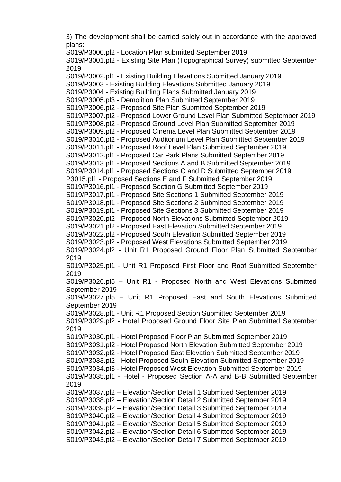3) The development shall be carried solely out in accordance with the approved plans:

S019/P3000.pl2 - Location Plan submitted September 2019 S019/P3001.pl2 - Existing Site Plan (Topographical Survey) submitted September 2019 S019/P3002.pl1 - Existing Building Elevations Submitted January 2019 S019/P3003 - Existing Building Elevations Submitted January 2019 S019/P3004 - Existing Building Plans Submitted January 2019 S019/P3005.pl3 - Demolition Plan Submitted September 2019 S019/P3006.pl2 - Proposed Site Plan Submitted September 2019 S019/P3007.pl2 - Proposed Lower Ground Level Plan Submitted September 2019 S019/P3008.pl2 - Proposed Ground Level Plan Submitted September 2019 S019/P3009.pl2 - Proposed Cinema Level Plan Submitted September 2019 S019/P3010.pl2 - Proposed Auditorium Level Plan Submitted September 2019 S019/P3011.pl1 - Proposed Roof Level Plan Submitted September 2019 S019/P3012.pl1 - Proposed Car Park Plans Submitted September 2019 S019/P3013.pl1 - Proposed Sections A and B Submitted September 2019 S019/P3014.pl1 - Proposed Sections C and D Submitted September 2019 P3015.pl1 - Proposed Sections E and F Submitted September 2019 S019/P3016.pl1 - Proposed Section G Submitted September 2019 S019/P3017.pl1 - Proposed Site Sections 1 Submitted September 2019 S019/P3018.pl1 - Proposed Site Sections 2 Submitted September 2019 S019/P3019.pl1 - Proposed Site Sections 3 Submitted September 2019 S019/P3020.pl2 - Proposed North Elevations Submitted September 2019 S019/P3021.pl2 - Proposed East Elevation Submitted September 2019 S019/P3022.pl2 - Proposed South Elevation Submitted September 2019 S019/P3023.pl2 - Proposed West Elevations Submitted September 2019 S019/P3024.pl2 - Unit R1 Proposed Ground Floor Plan Submitted September 2019 S019/P3025.pl1 - Unit R1 Proposed First Floor and Roof Submitted September 2019 S019/P3026.pl5 – Unit R1 - Proposed North and West Elevations Submitted September 2019 S019/P3027.pl5 – Unit R1 Proposed East and South Elevations Submitted September 2019 S019/P3028.pl1 - Unit R1 Proposed Section Submitted September 2019 S019/P3029.pl2 - Hotel Proposed Ground Floor Site Plan Submitted September 2019 S019/P3030.pl1 - Hotel Proposed Floor Plan Submitted September 2019 S019/P3031.pl2 - Hotel Proposed North Elevation Submitted September 2019 S019/P3032.pl2 - Hotel Proposed East Elevation Submitted September 2019 S019/P3033.pl2 - Hotel Proposed South Elevation Submitted September 2019 S019/P3034.pl3 - Hotel Proposed West Elevation Submitted September 2019 S019/P3035.pl1 - Hotel - Proposed Section A-A and B-B Submitted September 2019 S019/P3037.pl2 – Elevation/Section Detail 1 Submitted September 2019 S019/P3038.pl2 – Elevation/Section Detail 2 Submitted September 2019 S019/P3039.pl2 – Elevation/Section Detail 3 Submitted September 2019 S019/P3040.pl2 – Elevation/Section Detail 4 Submitted September 2019 S019/P3041.pl2 – Elevation/Section Detail 5 Submitted September 2019 S019/P3042.pl2 – Elevation/Section Detail 6 Submitted September 2019 S019/P3043.pl2 – Elevation/Section Detail 7 Submitted September 2019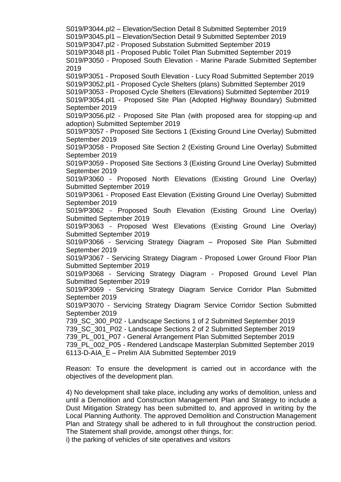S019/P3044.pl2 – Elevation/Section Detail 8 Submitted September 2019 S019/P3045.pl1 – Elevation/Section Detail 9 Submitted September 2019 S019/P3047.pl2 - Proposed Substation Submitted September 2019 S019/P3048 pl1 - Proposed Public Toilet Plan Submitted September 2019 S019/P3050 - Proposed South Elevation - Marine Parade Submitted September 2019 S019/P3051 - Proposed South Elevation - Lucy Road Submitted September 2019 S019/P3052.pl1 - Proposed Cycle Shelters (plans) Submitted September 2019 S019/P3053 - Proposed Cycle Shelters (Elevations) Submitted September 2019 S019/P3054.pl1 - Proposed Site Plan (Adopted Highway Boundary) Submitted September 2019 S019/P3056.pl2 - Proposed Site Plan (with proposed area for stopping-up and adoption) Submitted September 2019 S019/P3057 - Proposed Site Sections 1 (Existing Ground Line Overlay) Submitted September 2019 S019/P3058 - Proposed Site Section 2 (Existing Ground Line Overlay) Submitted September 2019 S019/P3059 - Proposed Site Sections 3 (Existing Ground Line Overlay) Submitted September 2019 S019/P3060 - Proposed North Elevations (Existing Ground Line Overlay) Submitted September 2019 S019/P3061 - Proposed East Elevation (Existing Ground Line Overlay) Submitted September 2019 S019/P3062 - Proposed South Elevation (Existing Ground Line Overlay) Submitted September 2019 S019/P3063 - Proposed West Elevations (Existing Ground Line Overlay) Submitted September 2019 S019/P3066 - Servicing Strategy Diagram – Proposed Site Plan Submitted September 2019 S019/P3067 - Servicing Strategy Diagram - Proposed Lower Ground Floor Plan Submitted September 2019 S019/P3068 - Servicing Strategy Diagram - Proposed Ground Level Plan Submitted September 2019 S019/P3069 - Servicing Strategy Diagram Service Corridor Plan Submitted September 2019 S019/P3070 - Servicing Strategy Diagram Service Corridor Section Submitted September 2019 739\_SC\_300\_P02 - Landscape Sections 1 of 2 Submitted September 2019 739\_SC\_301\_P02 - Landscape Sections 2 of 2 Submitted September 2019 739\_PL\_001\_P07 - General Arrangement Plan Submitted September 2019 739\_PL\_002\_P05 - Rendered Landscape Masterplan Submitted September 2019 6113-D-AIA\_E – Prelim AIA Submitted September 2019 Reason: To ensure the development is carried out in accordance with the

objectives of the development plan. 4) No development shall take place, including any works of demolition, unless and until a Demolition and Construction Management Plan and Strategy to include a Dust Mitigation Strategy has been submitted to, and approved in writing by the Local Planning Authority. The approved Demolition and Construction Management

Plan and Strategy shall be adhered to in full throughout the construction period. The Statement shall provide, amongst other things, for:

i) the parking of vehicles of site operatives and visitors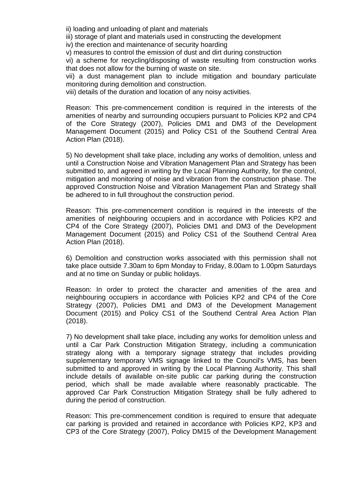ii) loading and unloading of plant and materials

iii) storage of plant and materials used in constructing the development

iv) the erection and maintenance of security hoarding

v) measures to control the emission of dust and dirt during construction

vi) a scheme for recycling/disposing of waste resulting from construction works that does not allow for the burning of waste on site.

vii) a dust management plan to include mitigation and boundary particulate monitoring during demolition and construction.

viii) details of the duration and location of any noisy activities.

Reason: This pre-commencement condition is required in the interests of the amenities of nearby and surrounding occupiers pursuant to Policies KP2 and CP4 of the Core Strategy (2007), Policies DM1 and DM3 of the Development Management Document (2015) and Policy CS1 of the Southend Central Area Action Plan (2018).

5) No development shall take place, including any works of demolition, unless and until a Construction Noise and Vibration Management Plan and Strategy has been submitted to, and agreed in writing by the Local Planning Authority, for the control, mitigation and monitoring of noise and vibration from the construction phase. The approved Construction Noise and Vibration Management Plan and Strategy shall be adhered to in full throughout the construction period.

Reason: This pre-commencement condition is required in the interests of the amenities of neighbouring occupiers and in accordance with Policies KP2 and CP4 of the Core Strategy (2007), Policies DM1 and DM3 of the Development Management Document (2015) and Policy CS1 of the Southend Central Area Action Plan (2018).

6) Demolition and construction works associated with this permission shall not take place outside 7.30am to 6pm Monday to Friday, 8.00am to 1.00pm Saturdays and at no time on Sunday or public holidays.

Reason: In order to protect the character and amenities of the area and neighbouring occupiers in accordance with Policies KP2 and CP4 of the Core Strategy (2007), Policies DM1 and DM3 of the Development Management Document (2015) and Policy CS1 of the Southend Central Area Action Plan (2018).

7) No development shall take place, including any works for demolition unless and until a Car Park Construction Mitigation Strategy, including a communication strategy along with a temporary signage strategy that includes providing supplementary temporary VMS signage linked to the Council's VMS, has been submitted to and approved in writing by the Local Planning Authority. This shall include details of available on-site public car parking during the construction period, which shall be made available where reasonably practicable. The approved Car Park Construction Mitigation Strategy shall be fully adhered to during the period of construction.

Reason: This pre-commencement condition is required to ensure that adequate car parking is provided and retained in accordance with Policies KP2, KP3 and CP3 of the Core Strategy (2007), Policy DM15 of the Development Management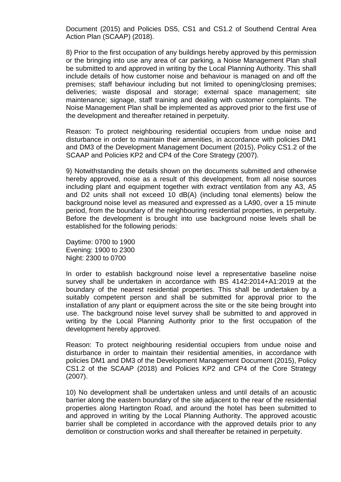Document (2015) and Policies DS5, CS1 and CS1.2 of Southend Central Area Action Plan (SCAAP) (2018).

8) Prior to the first occupation of any buildings hereby approved by this permission or the bringing into use any area of car parking, a Noise Management Plan shall be submitted to and approved in writing by the Local Planning Authority. This shall include details of how customer noise and behaviour is managed on and off the premises; staff behaviour including but not limited to opening/closing premises; deliveries; waste disposal and storage; external space management; site maintenance; signage, staff training and dealing with customer complaints. The Noise Management Plan shall be implemented as approved prior to the first use of the development and thereafter retained in perpetuity.

Reason: To protect neighbouring residential occupiers from undue noise and disturbance in order to maintain their amenities, in accordance with policies DM1 and DM3 of the Development Management Document (2015), Policy CS1.2 of the SCAAP and Policies KP2 and CP4 of the Core Strategy (2007).

9) Notwithstanding the details shown on the documents submitted and otherwise hereby approved, noise as a result of this development, from all noise sources including plant and equipment together with extract ventilation from any A3, A5 and D2 units shall not exceed 10 dB(A) (including tonal elements) below the background noise level as measured and expressed as a LA90, over a 15 minute period, from the boundary of the neighbouring residential properties, in perpetuity. Before the development is brought into use background noise levels shall be established for the following periods:

Daytime: 0700 to 1900 Evening: 1900 to 2300 Night: 2300 to 0700

In order to establish background noise level a representative baseline noise survey shall be undertaken in accordance with BS 4142:2014+A1:2019 at the boundary of the nearest residential properties. This shall be undertaken by a suitably competent person and shall be submitted for approval prior to the installation of any plant or equipment across the site or the site being brought into use. The background noise level survey shall be submitted to and approved in writing by the Local Planning Authority prior to the first occupation of the development hereby approved.

Reason: To protect neighbouring residential occupiers from undue noise and disturbance in order to maintain their residential amenities, in accordance with policies DM1 and DM3 of the Development Management Document (2015), Policy CS1.2 of the SCAAP (2018) and Policies KP2 and CP4 of the Core Strategy (2007).

10) No development shall be undertaken unless and until details of an acoustic barrier along the eastern boundary of the site adjacent to the rear of the residential properties along Hartington Road, and around the hotel has been submitted to and approved in writing by the Local Planning Authority. The approved acoustic barrier shall be completed in accordance with the approved details prior to any demolition or construction works and shall thereafter be retained in perpetuity.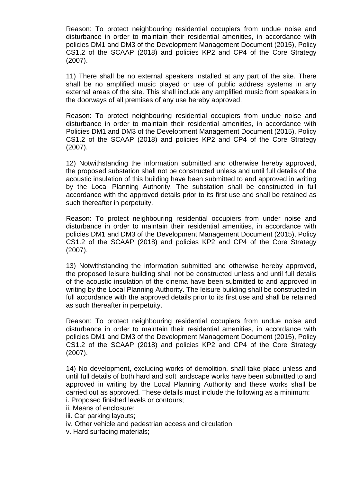Reason: To protect neighbouring residential occupiers from undue noise and disturbance in order to maintain their residential amenities, in accordance with policies DM1 and DM3 of the Development Management Document (2015), Policy CS1.2 of the SCAAP (2018) and policies KP2 and CP4 of the Core Strategy (2007).

11) There shall be no external speakers installed at any part of the site. There shall be no amplified music played or use of public address systems in any external areas of the site. This shall include any amplified music from speakers in the doorways of all premises of any use hereby approved.

Reason: To protect neighbouring residential occupiers from undue noise and disturbance in order to maintain their residential amenities, in accordance with Policies DM1 and DM3 of the Development Management Document (2015), Policy CS1.2 of the SCAAP (2018) and policies KP2 and CP4 of the Core Strategy (2007).

12) Notwithstanding the information submitted and otherwise hereby approved, the proposed substation shall not be constructed unless and until full details of the acoustic insulation of this building have been submitted to and approved in writing by the Local Planning Authority. The substation shall be constructed in full accordance with the approved details prior to its first use and shall be retained as such thereafter in perpetuity.

Reason: To protect neighbouring residential occupiers from under noise and disturbance in order to maintain their residential amenities, in accordance with policies DM1 and DM3 of the Development Management Document (2015), Policy CS1.2 of the SCAAP (2018) and policies KP2 and CP4 of the Core Strategy (2007).

13) Notwithstanding the information submitted and otherwise hereby approved, the proposed leisure building shall not be constructed unless and until full details of the acoustic insulation of the cinema have been submitted to and approved in writing by the Local Planning Authority. The leisure building shall be constructed in full accordance with the approved details prior to its first use and shall be retained as such thereafter in perpetuity.

Reason: To protect neighbouring residential occupiers from undue noise and disturbance in order to maintain their residential amenities, in accordance with policies DM1 and DM3 of the Development Management Document (2015), Policy CS1.2 of the SCAAP (2018) and policies KP2 and CP4 of the Core Strategy (2007).

14) No development, excluding works of demolition, shall take place unless and until full details of both hard and soft landscape works have been submitted to and approved in writing by the Local Planning Authority and these works shall be carried out as approved. These details must include the following as a minimum:

- i. Proposed finished levels or contours;
- ii. Means of enclosure;
- iii. Car parking layouts;
- iv. Other vehicle and pedestrian access and circulation
- v. Hard surfacing materials;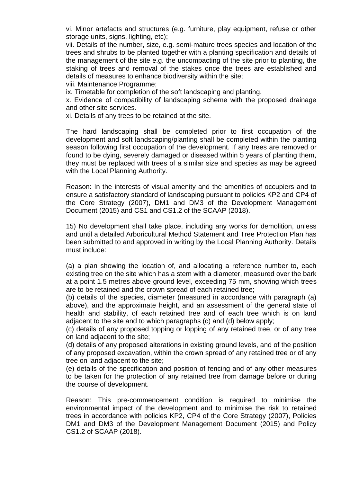vi. Minor artefacts and structures (e.g. furniture, play equipment, refuse or other storage units, signs, lighting, etc);

vii. Details of the number, size, e.g. semi-mature trees species and location of the trees and shrubs to be planted together with a planting specification and details of the management of the site e.g. the uncompacting of the site prior to planting, the staking of trees and removal of the stakes once the trees are established and details of measures to enhance biodiversity within the site;

viii. Maintenance Programme;

ix. Timetable for completion of the soft landscaping and planting.

x. Evidence of compatibility of landscaping scheme with the proposed drainage and other site services.

xi. Details of any trees to be retained at the site.

The hard landscaping shall be completed prior to first occupation of the development and soft landscaping/planting shall be completed within the planting season following first occupation of the development. If any trees are removed or found to be dying, severely damaged or diseased within 5 years of planting them, they must be replaced with trees of a similar size and species as may be agreed with the Local Planning Authority.

Reason: In the interests of visual amenity and the amenities of occupiers and to ensure a satisfactory standard of landscaping pursuant to policies KP2 and CP4 of the Core Strategy (2007), DM1 and DM3 of the Development Management Document (2015) and CS1 and CS1.2 of the SCAAP (2018).

15) No development shall take place, including any works for demolition, unless and until a detailed Arboricultural Method Statement and Tree Protection Plan has been submitted to and approved in writing by the Local Planning Authority. Details must include:

(a) a plan showing the location of, and allocating a reference number to, each existing tree on the site which has a stem with a diameter, measured over the bark at a point 1.5 metres above ground level, exceeding 75 mm, showing which trees are to be retained and the crown spread of each retained tree;

(b) details of the species, diameter (measured in accordance with paragraph (a) above), and the approximate height, and an assessment of the general state of health and stability, of each retained tree and of each tree which is on land adjacent to the site and to which paragraphs (c) and (d) below apply;

(c) details of any proposed topping or lopping of any retained tree, or of any tree on land adjacent to the site;

(d) details of any proposed alterations in existing ground levels, and of the position of any proposed excavation, within the crown spread of any retained tree or of any tree on land adjacent to the site;

(e) details of the specification and position of fencing and of any other measures to be taken for the protection of any retained tree from damage before or during the course of development.

Reason: This pre-commencement condition is required to minimise the environmental impact of the development and to minimise the risk to retained trees in accordance with policies KP2, CP4 of the Core Strategy (2007), Policies DM1 and DM3 of the Development Management Document (2015) and Policy CS1.2 of SCAAP (2018).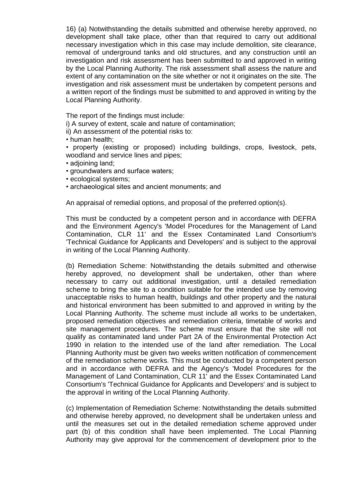16) (a) Notwithstanding the details submitted and otherwise hereby approved, no development shall take place, other than that required to carry out additional necessary investigation which in this case may include demolition, site clearance, removal of underground tanks and old structures, and any construction until an investigation and risk assessment has been submitted to and approved in writing by the Local Planning Authority. The risk assessment shall assess the nature and extent of any contamination on the site whether or not it originates on the site. The investigation and risk assessment must be undertaken by competent persons and a written report of the findings must be submitted to and approved in writing by the Local Planning Authority.

The report of the findings must include:

i) A survey of extent, scale and nature of contamination;

ii) An assessment of the potential risks to:

- human health;
- property (existing or proposed) including buildings, crops, livestock, pets, woodland and service lines and pipes;
- adjoining land;
- groundwaters and surface waters;
- ecological systems;
- archaeological sites and ancient monuments; and

An appraisal of remedial options, and proposal of the preferred option(s).

This must be conducted by a competent person and in accordance with DEFRA and the Environment Agency's 'Model Procedures for the Management of Land Contamination, CLR 11' and the Essex Contaminated Land Consortium's 'Technical Guidance for Applicants and Developers' and is subject to the approval in writing of the Local Planning Authority.

(b) Remediation Scheme: Notwithstanding the details submitted and otherwise hereby approved, no development shall be undertaken, other than where necessary to carry out additional investigation, until a detailed remediation scheme to bring the site to a condition suitable for the intended use by removing unacceptable risks to human health, buildings and other property and the natural and historical environment has been submitted to and approved in writing by the Local Planning Authority. The scheme must include all works to be undertaken, proposed remediation objectives and remediation criteria, timetable of works and site management procedures. The scheme must ensure that the site will not qualify as contaminated land under Part 2A of the Environmental Protection Act 1990 in relation to the intended use of the land after remediation. The Local Planning Authority must be given two weeks written notification of commencement of the remediation scheme works. This must be conducted by a competent person and in accordance with DEFRA and the Agency's 'Model Procedures for the Management of Land Contamination, CLR 11' and the Essex Contaminated Land Consortium's 'Technical Guidance for Applicants and Developers' and is subject to the approval in writing of the Local Planning Authority.

(c) Implementation of Remediation Scheme: Notwithstanding the details submitted and otherwise hereby approved, no development shall be undertaken unless and until the measures set out in the detailed remediation scheme approved under part (b) of this condition shall have been implemented. The Local Planning Authority may give approval for the commencement of development prior to the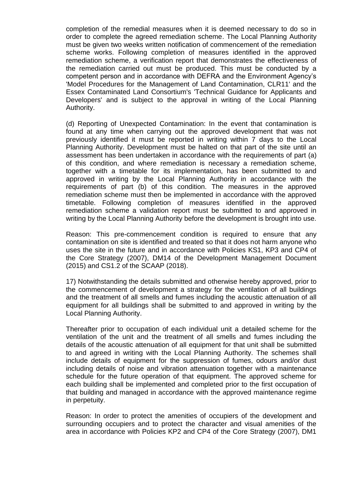completion of the remedial measures when it is deemed necessary to do so in order to complete the agreed remediation scheme. The Local Planning Authority must be given two weeks written notification of commencement of the remediation scheme works. Following completion of measures identified in the approved remediation scheme, a verification report that demonstrates the effectiveness of the remediation carried out must be produced. This must be conducted by a competent person and in accordance with DEFRA and the Environment Agency's 'Model Procedures for the Management of Land Contamination, CLR11' and the Essex Contaminated Land Consortium's 'Technical Guidance for Applicants and Developers' and is subject to the approval in writing of the Local Planning Authority.

(d) Reporting of Unexpected Contamination: In the event that contamination is found at any time when carrying out the approved development that was not previously identified it must be reported in writing within 7 days to the Local Planning Authority. Development must be halted on that part of the site until an assessment has been undertaken in accordance with the requirements of part (a) of this condition, and where remediation is necessary a remediation scheme, together with a timetable for its implementation, has been submitted to and approved in writing by the Local Planning Authority in accordance with the requirements of part (b) of this condition. The measures in the approved remediation scheme must then be implemented in accordance with the approved timetable. Following completion of measures identified in the approved remediation scheme a validation report must be submitted to and approved in writing by the Local Planning Authority before the development is brought into use.

Reason: This pre-commencement condition is required to ensure that any contamination on site is identified and treated so that it does not harm anyone who uses the site in the future and in accordance with Policies KS1, KP3 and CP4 of the Core Strategy (2007), DM14 of the Development Management Document (2015) and CS1.2 of the SCAAP (2018).

17) Notwithstanding the details submitted and otherwise hereby approved, prior to the commencement of development a strategy for the ventilation of all buildings and the treatment of all smells and fumes including the acoustic attenuation of all equipment for all buildings shall be submitted to and approved in writing by the Local Planning Authority.

Thereafter prior to occupation of each individual unit a detailed scheme for the ventilation of the unit and the treatment of all smells and fumes including the details of the acoustic attenuation of all equipment for that unit shall be submitted to and agreed in writing with the Local Planning Authority. The schemes shall include details of equipment for the suppression of fumes, odours and/or dust including details of noise and vibration attenuation together with a maintenance schedule for the future operation of that equipment. The approved scheme for each building shall be implemented and completed prior to the first occupation of that building and managed in accordance with the approved maintenance regime in perpetuity.

Reason: In order to protect the amenities of occupiers of the development and surrounding occupiers and to protect the character and visual amenities of the area in accordance with Policies KP2 and CP4 of the Core Strategy (2007), DM1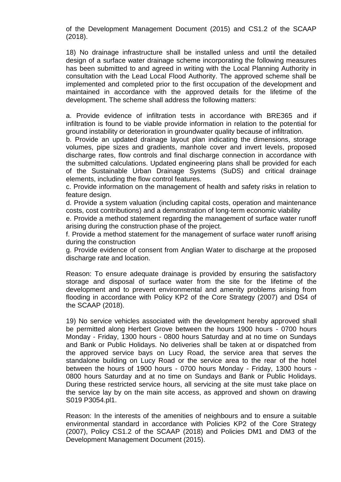of the Development Management Document (2015) and CS1.2 of the SCAAP (2018).

18) No drainage infrastructure shall be installed unless and until the detailed design of a surface water drainage scheme incorporating the following measures has been submitted to and agreed in writing with the Local Planning Authority in consultation with the Lead Local Flood Authority. The approved scheme shall be implemented and completed prior to the first occupation of the development and maintained in accordance with the approved details for the lifetime of the development. The scheme shall address the following matters:

a. Provide evidence of infiltration tests in accordance with BRE365 and if infiltration is found to be viable provide information in relation to the potential for ground instability or deterioration in groundwater quality because of infiltration.

b. Provide an updated drainage layout plan indicating the dimensions, storage volumes, pipe sizes and gradients, manhole cover and invert levels, proposed discharge rates, flow controls and final discharge connection in accordance with the submitted calculations. Updated engineering plans shall be provided for each of the Sustainable Urban Drainage Systems (SuDS) and critical drainage elements, including the flow control features.

c. Provide information on the management of health and safety risks in relation to feature design.

d. Provide a system valuation (including capital costs, operation and maintenance costs, cost contributions) and a demonstration of long-term economic viability

e. Provide a method statement regarding the management of surface water runoff arising during the construction phase of the project.

f. Provide a method statement for the management of surface water runoff arising during the construction

g. Provide evidence of consent from Anglian Water to discharge at the proposed discharge rate and location.

Reason: To ensure adequate drainage is provided by ensuring the satisfactory storage and disposal of surface water from the site for the lifetime of the development and to prevent environmental and amenity problems arising from flooding in accordance with Policy KP2 of the Core Strategy (2007) and DS4 of the SCAAP (2018).

19) No service vehicles associated with the development hereby approved shall be permitted along Herbert Grove between the hours 1900 hours - 0700 hours Monday - Friday, 1300 hours - 0800 hours Saturday and at no time on Sundays and Bank or Public Holidays. No deliveries shall be taken at or dispatched from the approved service bays on Lucy Road, the service area that serves the standalone building on Lucy Road or the service area to the rear of the hotel between the hours of 1900 hours - 0700 hours Monday - Friday, 1300 hours - 0800 hours Saturday and at no time on Sundays and Bank or Public Holidays. During these restricted service hours, all servicing at the site must take place on the service lay by on the main site access, as approved and shown on drawing S019 P3054.pl1.

Reason: In the interests of the amenities of neighbours and to ensure a suitable environmental standard in accordance with Policies KP2 of the Core Strategy (2007), Policy CS1.2 of the SCAAP (2018) and Policies DM1 and DM3 of the Development Management Document (2015).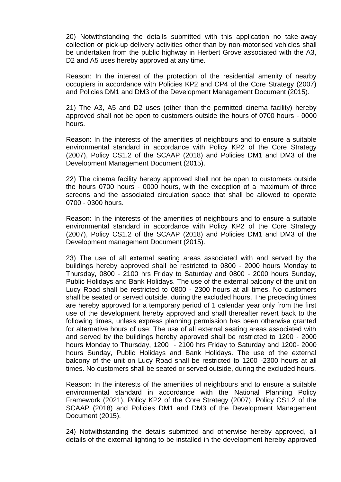20) Notwithstanding the details submitted with this application no take-away collection or pick-up delivery activities other than by non-motorised vehicles shall be undertaken from the public highway in Herbert Grove associated with the A3, D<sub>2</sub> and A<sub>5</sub> uses hereby approved at any time.

Reason: In the interest of the protection of the residential amenity of nearby occupiers in accordance with Policies KP2 and CP4 of the Core Strategy (2007) and Policies DM1 and DM3 of the Development Management Document (2015).

21) The A3, A5 and D2 uses (other than the permitted cinema facility) hereby approved shall not be open to customers outside the hours of 0700 hours - 0000 hours.

Reason: In the interests of the amenities of neighbours and to ensure a suitable environmental standard in accordance with Policy KP2 of the Core Strategy (2007), Policy CS1.2 of the SCAAP (2018) and Policies DM1 and DM3 of the Development Management Document (2015).

22) The cinema facility hereby approved shall not be open to customers outside the hours 0700 hours - 0000 hours, with the exception of a maximum of three screens and the associated circulation space that shall be allowed to operate 0700 - 0300 hours.

Reason: In the interests of the amenities of neighbours and to ensure a suitable environmental standard in accordance with Policy KP2 of the Core Strategy (2007), Policy CS1.2 of the SCAAP (2018) and Policies DM1 and DM3 of the Development management Document (2015).

23) The use of all external seating areas associated with and served by the buildings hereby approved shall be restricted to 0800 - 2000 hours Monday to Thursday, 0800 - 2100 hrs Friday to Saturday and 0800 - 2000 hours Sunday, Public Holidays and Bank Holidays. The use of the external balcony of the unit on Lucy Road shall be restricted to 0800 - 2300 hours at all times. No customers shall be seated or served outside, during the excluded hours. The preceding times are hereby approved for a temporary period of 1 calendar year only from the first use of the development hereby approved and shall thereafter revert back to the following times, unless express planning permission has been otherwise granted for alternative hours of use: The use of all external seating areas associated with and served by the buildings hereby approved shall be restricted to 1200 - 2000 hours Monday to Thursday, 1200 - 2100 hrs Friday to Saturday and 1200- 2000 hours Sunday, Public Holidays and Bank Holidays. The use of the external balcony of the unit on Lucy Road shall be restricted to 1200 -2300 hours at all times. No customers shall be seated or served outside, during the excluded hours.

Reason: In the interests of the amenities of neighbours and to ensure a suitable environmental standard in accordance with the National Planning Policy Framework (2021), Policy KP2 of the Core Strategy (2007), Policy CS1.2 of the SCAAP (2018) and Policies DM1 and DM3 of the Development Management Document (2015).

24) Notwithstanding the details submitted and otherwise hereby approved, all details of the external lighting to be installed in the development hereby approved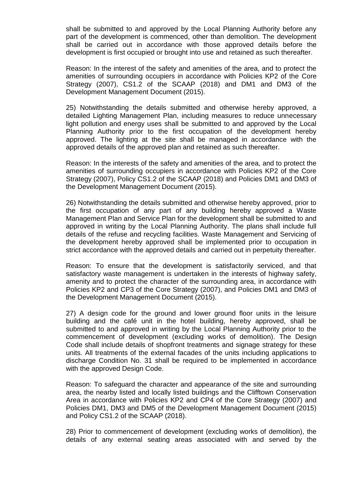shall be submitted to and approved by the Local Planning Authority before any part of the development is commenced, other than demolition. The development shall be carried out in accordance with those approved details before the development is first occupied or brought into use and retained as such thereafter.

Reason: In the interest of the safety and amenities of the area, and to protect the amenities of surrounding occupiers in accordance with Policies KP2 of the Core Strategy (2007), CS1.2 of the SCAAP (2018) and DM1 and DM3 of the Development Management Document (2015).

25) Notwithstanding the details submitted and otherwise hereby approved, a detailed Lighting Management Plan, including measures to reduce unnecessary light pollution and energy uses shall be submitted to and approved by the Local Planning Authority prior to the first occupation of the development hereby approved. The lighting at the site shall be managed in accordance with the approved details of the approved plan and retained as such thereafter.

Reason: In the interests of the safety and amenities of the area, and to protect the amenities of surrounding occupiers in accordance with Policies KP2 of the Core Strategy (2007), Policy CS1.2 of the SCAAP (2018) and Policies DM1 and DM3 of the Development Management Document (2015).

26) Notwithstanding the details submitted and otherwise hereby approved, prior to the first occupation of any part of any building hereby approved a Waste Management Plan and Service Plan for the development shall be submitted to and approved in writing by the Local Planning Authority. The plans shall include full details of the refuse and recycling facilities. Waste Management and Servicing of the development hereby approved shall be implemented prior to occupation in strict accordance with the approved details and carried out in perpetuity thereafter.

Reason: To ensure that the development is satisfactorily serviced, and that satisfactory waste management is undertaken in the interests of highway safety, amenity and to protect the character of the surrounding area, in accordance with Policies KP2 and CP3 of the Core Strategy (2007), and Policies DM1 and DM3 of the Development Management Document (2015).

27) A design code for the ground and lower ground floor units in the leisure building and the café unit in the hotel building, hereby approved, shall be submitted to and approved in writing by the Local Planning Authority prior to the commencement of development (excluding works of demolition). The Design Code shall include details of shopfront treatments and signage strategy for these units. All treatments of the external facades of the units including applications to discharge Condition No. 31 shall be required to be implemented in accordance with the approved Design Code.

Reason: To safeguard the character and appearance of the site and surrounding area, the nearby listed and locally listed buildings and the Clifftown Conservation Area in accordance with Policies KP2 and CP4 of the Core Strategy (2007) and Policies DM1, DM3 and DM5 of the Development Management Document (2015) and Policy CS1.2 of the SCAAP (2018).

28) Prior to commencement of development (excluding works of demolition), the details of any external seating areas associated with and served by the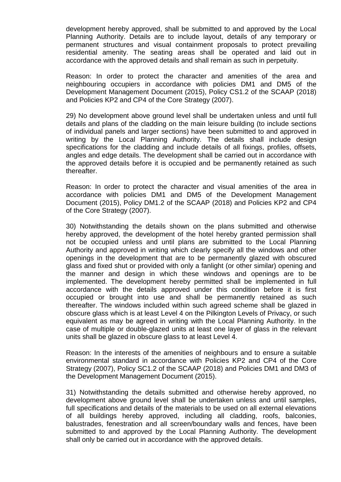development hereby approved, shall be submitted to and approved by the Local Planning Authority. Details are to include layout, details of any temporary or permanent structures and visual containment proposals to protect prevailing residential amenity. The seating areas shall be operated and laid out in accordance with the approved details and shall remain as such in perpetuity.

Reason: In order to protect the character and amenities of the area and neighbouring occupiers in accordance with policies DM1 and DM5 of the Development Management Document (2015), Policy CS1.2 of the SCAAP (2018) and Policies KP2 and CP4 of the Core Strategy (2007).

29) No development above ground level shall be undertaken unless and until full details and plans of the cladding on the main leisure building (to include sections of individual panels and larger sections) have been submitted to and approved in writing by the Local Planning Authority. The details shall include design specifications for the cladding and include details of all fixings, profiles, offsets, angles and edge details. The development shall be carried out in accordance with the approved details before it is occupied and be permanently retained as such thereafter.

Reason: In order to protect the character and visual amenities of the area in accordance with policies DM1 and DM5 of the Development Management Document (2015), Policy DM1.2 of the SCAAP (2018) and Policies KP2 and CP4 of the Core Strategy (2007).

30) Notwithstanding the details shown on the plans submitted and otherwise hereby approved, the development of the hotel hereby granted permission shall not be occupied unless and until plans are submitted to the Local Planning Authority and approved in writing which clearly specify all the windows and other openings in the development that are to be permanently glazed with obscured glass and fixed shut or provided with only a fanlight (or other similar) opening and the manner and design in which these windows and openings are to be implemented. The development hereby permitted shall be implemented in full accordance with the details approved under this condition before it is first occupied or brought into use and shall be permanently retained as such thereafter. The windows included within such agreed scheme shall be glazed in obscure glass which is at least Level 4 on the Pilkington Levels of Privacy, or such equivalent as may be agreed in writing with the Local Planning Authority. In the case of multiple or double-glazed units at least one layer of glass in the relevant units shall be glazed in obscure glass to at least Level 4.

Reason: In the interests of the amenities of neighbours and to ensure a suitable environmental standard in accordance with Policies KP2 and CP4 of the Core Strategy (2007), Policy SC1.2 of the SCAAP (2018) and Policies DM1 and DM3 of the Development Management Document (2015).

31) Notwithstanding the details submitted and otherwise hereby approved, no development above ground level shall be undertaken unless and until samples, full specifications and details of the materials to be used on all external elevations of all buildings hereby approved, including all cladding, roofs, balconies, balustrades, fenestration and all screen/boundary walls and fences, have been submitted to and approved by the Local Planning Authority. The development shall only be carried out in accordance with the approved details.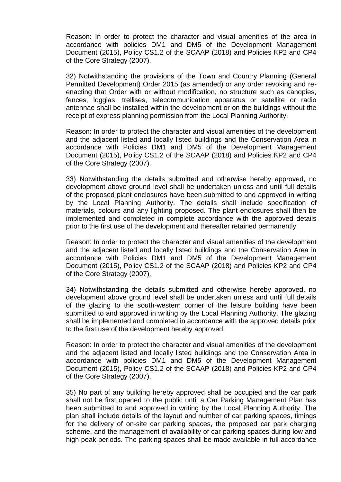Reason: In order to protect the character and visual amenities of the area in accordance with policies DM1 and DM5 of the Development Management Document (2015), Policy CS1.2 of the SCAAP (2018) and Policies KP2 and CP4 of the Core Strategy (2007).

32) Notwithstanding the provisions of the Town and Country Planning (General Permitted Development) Order 2015 (as amended) or any order revoking and reenacting that Order with or without modification, no structure such as canopies, fences, loggias, trellises, telecommunication apparatus or satellite or radio antennae shall be installed within the development or on the buildings without the receipt of express planning permission from the Local Planning Authority.

Reason: In order to protect the character and visual amenities of the development and the adjacent listed and locally listed buildings and the Conservation Area in accordance with Policies DM1 and DM5 of the Development Management Document (2015), Policy CS1.2 of the SCAAP (2018) and Policies KP2 and CP4 of the Core Strategy (2007).

33) Notwithstanding the details submitted and otherwise hereby approved, no development above ground level shall be undertaken unless and until full details of the proposed plant enclosures have been submitted to and approved in writing by the Local Planning Authority. The details shall include specification of materials, colours and any lighting proposed. The plant enclosures shall then be implemented and completed in complete accordance with the approved details prior to the first use of the development and thereafter retained permanently.

Reason: In order to protect the character and visual amenities of the development and the adjacent listed and locally listed buildings and the Conservation Area in accordance with Policies DM1 and DM5 of the Development Management Document (2015), Policy CS1.2 of the SCAAP (2018) and Policies KP2 and CP4 of the Core Strategy (2007).

34) Notwithstanding the details submitted and otherwise hereby approved, no development above ground level shall be undertaken unless and until full details of the glazing to the south-western corner of the leisure building have been submitted to and approved in writing by the Local Planning Authority. The glazing shall be implemented and completed in accordance with the approved details prior to the first use of the development hereby approved.

Reason: In order to protect the character and visual amenities of the development and the adjacent listed and locally listed buildings and the Conservation Area in accordance with policies DM1 and DM5 of the Development Management Document (2015), Policy CS1.2 of the SCAAP (2018) and Policies KP2 and CP4 of the Core Strategy (2007).

35) No part of any building hereby approved shall be occupied and the car park shall not be first opened to the public until a Car Parking Management Plan has been submitted to and approved in writing by the Local Planning Authority. The plan shall include details of the layout and number of car parking spaces, timings for the delivery of on-site car parking spaces, the proposed car park charging scheme, and the management of availability of car parking spaces during low and high peak periods. The parking spaces shall be made available in full accordance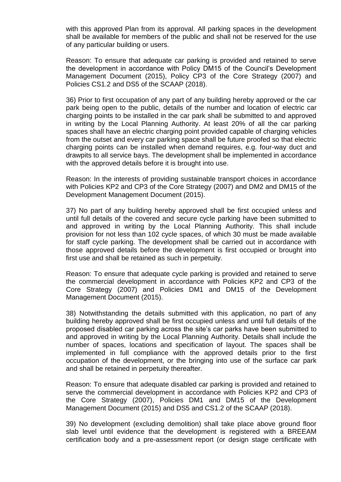with this approved Plan from its approval. All parking spaces in the development shall be available for members of the public and shall not be reserved for the use of any particular building or users.

Reason: To ensure that adequate car parking is provided and retained to serve the development in accordance with Policy DM15 of the Council's Development Management Document (2015), Policy CP3 of the Core Strategy (2007) and Policies CS1.2 and DS5 of the SCAAP (2018).

36) Prior to first occupation of any part of any building hereby approved or the car park being open to the public, details of the number and location of electric car charging points to be installed in the car park shall be submitted to and approved in writing by the Local Planning Authority. At least 20% of all the car parking spaces shall have an electric charging point provided capable of charging vehicles from the outset and every car parking space shall be future proofed so that electric charging points can be installed when demand requires, e.g. four-way duct and drawpits to all service bays. The development shall be implemented in accordance with the approved details before it is brought into use.

Reason: In the interests of providing sustainable transport choices in accordance with Policies KP2 and CP3 of the Core Strategy (2007) and DM2 and DM15 of the Development Management Document (2015).

37) No part of any building hereby approved shall be first occupied unless and until full details of the covered and secure cycle parking have been submitted to and approved in writing by the Local Planning Authority. This shall include provision for not less than 102 cycle spaces, of which 30 must be made available for staff cycle parking. The development shall be carried out in accordance with those approved details before the development is first occupied or brought into first use and shall be retained as such in perpetuity.

Reason: To ensure that adequate cycle parking is provided and retained to serve the commercial development in accordance with Policies KP2 and CP3 of the Core Strategy (2007) and Policies DM1 and DM15 of the Development Management Document (2015).

38) Notwithstanding the details submitted with this application, no part of any building hereby approved shall be first occupied unless and until full details of the proposed disabled car parking across the site's car parks have been submitted to and approved in writing by the Local Planning Authority. Details shall include the number of spaces, locations and specification of layout. The spaces shall be implemented in full compliance with the approved details prior to the first occupation of the development, or the bringing into use of the surface car park and shall be retained in perpetuity thereafter.

Reason: To ensure that adequate disabled car parking is provided and retained to serve the commercial development in accordance with Policies KP2 and CP3 of the Core Strategy (2007), Policies DM1 and DM15 of the Development Management Document (2015) and DS5 and CS1.2 of the SCAAP (2018).

39) No development (excluding demolition) shall take place above ground floor slab level until evidence that the development is registered with a BREEAM certification body and a pre-assessment report (or design stage certificate with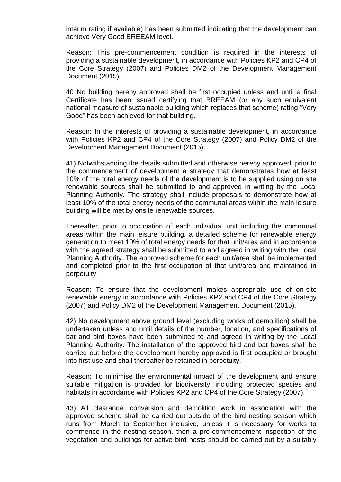interim rating if available) has been submitted indicating that the development can achieve Very Good BREEAM level.

Reason: This pre-commencement condition is required in the interests of providing a sustainable development, in accordance with Policies KP2 and CP4 of the Core Strategy (2007) and Policies DM2 of the Development Management Document (2015).

40 No building hereby approved shall be first occupied unless and until a final Certificate has been issued certifying that BREEAM (or any such equivalent national measure of sustainable building which replaces that scheme) rating "Very Good" has been achieved for that building.

Reason: In the interests of providing a sustainable development, in accordance with Policies KP2 and CP4 of the Core Strategy (2007) and Policy DM2 of the Development Management Document (2015).

41) Notwithstanding the details submitted and otherwise hereby approved, prior to the commencement of development a strategy that demonstrates how at least 10% of the total energy needs of the development is to be supplied using on site renewable sources shall be submitted to and approved in writing by the Local Planning Authority. The strategy shall include proposals to demonstrate how at least 10% of the total energy needs of the communal areas within the main leisure building will be met by onsite renewable sources.

Thereafter, prior to occupation of each individual unit including the communal areas within the main leisure building, a detailed scheme for renewable energy generation to meet 10% of total energy needs for that unit/area and in accordance with the agreed strategy shall be submitted to and agreed in writing with the Local Planning Authority. The approved scheme for each unit/area shall be implemented and completed prior to the first occupation of that unit/area and maintained in perpetuity.

Reason: To ensure that the development makes appropriate use of on-site renewable energy in accordance with Policies KP2 and CP4 of the Core Strategy (2007) and Policy DM2 of the Development Management Document (2015).

42) No development above ground level (excluding works of demolition) shall be undertaken unless and until details of the number, location, and specifications of bat and bird boxes have been submitted to and agreed in writing by the Local Planning Authority. The installation of the approved bird and bat boxes shall be carried out before the development hereby approved is first occupied or brought into first use and shall thereafter be retained in perpetuity.

Reason: To minimise the environmental impact of the development and ensure suitable mitigation is provided for biodiversity, including protected species and habitats in accordance with Policies KP2 and CP4 of the Core Strategy (2007).

43) All clearance, conversion and demolition work in association with the approved scheme shall be carried out outside of the bird nesting season which runs from March to September inclusive, unless it is necessary for works to commence in the nesting season, then a pre-commencement inspection of the vegetation and buildings for active bird nests should be carried out by a suitably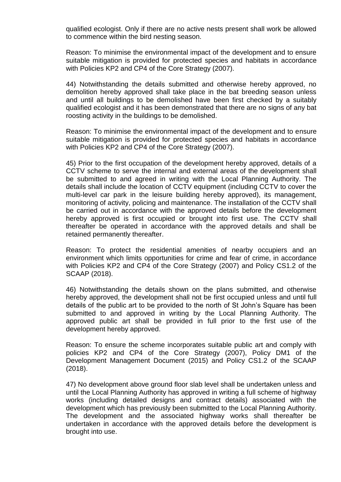qualified ecologist. Only if there are no active nests present shall work be allowed to commence within the bird nesting season.

Reason: To minimise the environmental impact of the development and to ensure suitable mitigation is provided for protected species and habitats in accordance with Policies KP2 and CP4 of the Core Strategy (2007).

44) Notwithstanding the details submitted and otherwise hereby approved, no demolition hereby approved shall take place in the bat breeding season unless and until all buildings to be demolished have been first checked by a suitably qualified ecologist and it has been demonstrated that there are no signs of any bat roosting activity in the buildings to be demolished.

Reason: To minimise the environmental impact of the development and to ensure suitable mitigation is provided for protected species and habitats in accordance with Policies KP2 and CP4 of the Core Strategy (2007).

45) Prior to the first occupation of the development hereby approved, details of a CCTV scheme to serve the internal and external areas of the development shall be submitted to and agreed in writing with the Local Planning Authority. The details shall include the location of CCTV equipment (including CCTV to cover the multi-level car park in the leisure building hereby approved), its management, monitoring of activity, policing and maintenance. The installation of the CCTV shall be carried out in accordance with the approved details before the development hereby approved is first occupied or brought into first use. The CCTV shall thereafter be operated in accordance with the approved details and shall be retained permanently thereafter.

Reason: To protect the residential amenities of nearby occupiers and an environment which limits opportunities for crime and fear of crime, in accordance with Policies KP2 and CP4 of the Core Strategy (2007) and Policy CS1.2 of the SCAAP (2018).

46) Notwithstanding the details shown on the plans submitted, and otherwise hereby approved, the development shall not be first occupied unless and until full details of the public art to be provided to the north of St John's Square has been submitted to and approved in writing by the Local Planning Authority. The approved public art shall be provided in full prior to the first use of the development hereby approved.

Reason: To ensure the scheme incorporates suitable public art and comply with policies KP2 and CP4 of the Core Strategy (2007), Policy DM1 of the Development Management Document (2015) and Policy CS1.2 of the SCAAP (2018).

47) No development above ground floor slab level shall be undertaken unless and until the Local Planning Authority has approved in writing a full scheme of highway works (including detailed designs and contract details) associated with the development which has previously been submitted to the Local Planning Authority. The development and the associated highway works shall thereafter be undertaken in accordance with the approved details before the development is brought into use.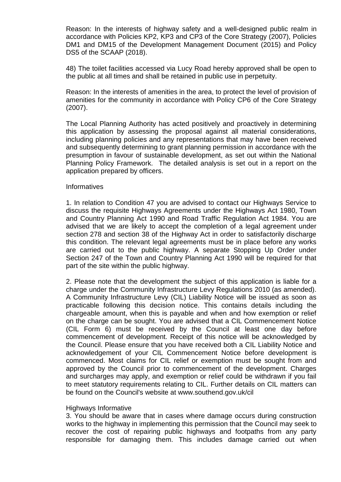Reason: In the interests of highway safety and a well-designed public realm in accordance with Policies KP2, KP3 and CP3 of the Core Strategy (2007), Policies DM1 and DM15 of the Development Management Document (2015) and Policy DS5 of the SCAAP (2018).

48) The toilet facilities accessed via Lucy Road hereby approved shall be open to the public at all times and shall be retained in public use in perpetuity.

Reason: In the interests of amenities in the area, to protect the level of provision of amenities for the community in accordance with Policy CP6 of the Core Strategy (2007).

The Local Planning Authority has acted positively and proactively in determining this application by assessing the proposal against all material considerations, including planning policies and any representations that may have been received and subsequently determining to grant planning permission in accordance with the presumption in favour of sustainable development, as set out within the National Planning Policy Framework. The detailed analysis is set out in a report on the application prepared by officers.

#### **Informatives**

1. In relation to Condition 47 you are advised to contact our Highways Service to discuss the requisite Highways Agreements under the Highways Act 1980, Town and Country Planning Act 1990 and Road Traffic Regulation Act 1984. You are advised that we are likely to accept the completion of a legal agreement under section 278 and section 38 of the Highway Act in order to satisfactorily discharge this condition. The relevant legal agreements must be in place before any works are carried out to the public highway. A separate Stopping Up Order under Section 247 of the Town and Country Planning Act 1990 will be required for that part of the site within the public highway.

2. Please note that the development the subject of this application is liable for a charge under the Community Infrastructure Levy Regulations 2010 (as amended). A Community Infrastructure Levy (CIL) Liability Notice will be issued as soon as practicable following this decision notice. This contains details including the chargeable amount, when this is payable and when and how exemption or relief on the charge can be sought. You are advised that a CIL Commencement Notice (CIL Form 6) must be received by the Council at least one day before commencement of development. Receipt of this notice will be acknowledged by the Council. Please ensure that you have received both a CIL Liability Notice and acknowledgement of your CIL Commencement Notice before development is commenced. Most claims for CIL relief or exemption must be sought from and approved by the Council prior to commencement of the development. Charges and surcharges may apply, and exemption or relief could be withdrawn if you fail to meet statutory requirements relating to CIL. Further details on CIL matters can be found on the Council's website at www.southend.gov.uk/cil

#### Highways Informative

3. You should be aware that in cases where damage occurs during construction works to the highway in implementing this permission that the Council may seek to recover the cost of repairing public highways and footpaths from any party responsible for damaging them. This includes damage carried out when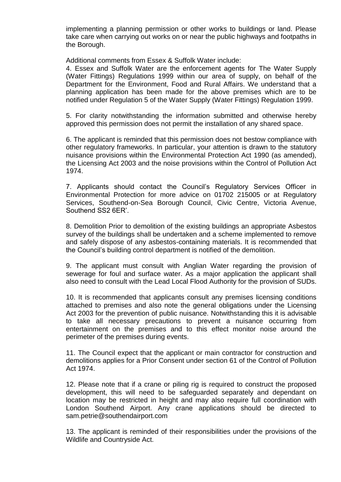implementing a planning permission or other works to buildings or land. Please take care when carrying out works on or near the public highways and footpaths in the Borough.

Additional comments from Essex & Suffolk Water include:

4. Essex and Suffolk Water are the enforcement agents for The Water Supply (Water Fittings) Regulations 1999 within our area of supply, on behalf of the Department for the Environment, Food and Rural Affairs. We understand that a planning application has been made for the above premises which are to be notified under Regulation 5 of the Water Supply (Water Fittings) Regulation 1999.

5. For clarity notwithstanding the information submitted and otherwise hereby approved this permission does not permit the installation of any shared space.

6. The applicant is reminded that this permission does not bestow compliance with other regulatory frameworks. In particular, your attention is drawn to the statutory nuisance provisions within the Environmental Protection Act 1990 (as amended), the Licensing Act 2003 and the noise provisions within the Control of Pollution Act 1974.

7. Applicants should contact the Council's Regulatory Services Officer in Environmental Protection for more advice on 01702 215005 or at Regulatory Services, Southend-on-Sea Borough Council, Civic Centre, Victoria Avenue, Southend SS2 6ER'.

8. Demolition Prior to demolition of the existing buildings an appropriate Asbestos survey of the buildings shall be undertaken and a scheme implemented to remove and safely dispose of any asbestos-containing materials. It is recommended that the Council's building control department is notified of the demolition.

9. The applicant must consult with Anglian Water regarding the provision of sewerage for foul and surface water. As a major application the applicant shall also need to consult with the Lead Local Flood Authority for the provision of SUDs.

10. It is recommended that applicants consult any premises licensing conditions attached to premises and also note the general obligations under the Licensing Act 2003 for the prevention of public nuisance. Notwithstanding this it is advisable to take all necessary precautions to prevent a nuisance occurring from entertainment on the premises and to this effect monitor noise around the perimeter of the premises during events.

11. The Council expect that the applicant or main contractor for construction and demolitions applies for a Prior Consent under section 61 of the Control of Pollution Act 1974.

12. Please note that if a crane or piling rig is required to construct the proposed development, this will need to be safeguarded separately and dependant on location may be restricted in height and may also require full coordination with London Southend Airport. Any crane applications should be directed to sam.petrie@southendairport.com

13. The applicant is reminded of their responsibilities under the provisions of the Wildlife and Countryside Act.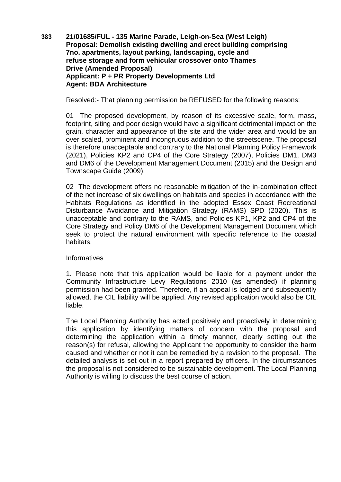**383 21/01685/FUL - 135 Marine Parade, Leigh-on-Sea (West Leigh) Proposal: Demolish existing dwelling and erect building comprising 7no. apartments, layout parking, landscaping, cycle and refuse storage and form vehicular crossover onto Thames Drive (Amended Proposal) Applicant: P + PR Property Developments Ltd Agent: BDA Architecture**

Resolved:- That planning permission be REFUSED for the following reasons:

01 The proposed development, by reason of its excessive scale, form, mass, footprint, siting and poor design would have a significant detrimental impact on the grain, character and appearance of the site and the wider area and would be an over scaled, prominent and incongruous addition to the streetscene. The proposal is therefore unacceptable and contrary to the National Planning Policy Framework (2021), Policies KP2 and CP4 of the Core Strategy (2007), Policies DM1, DM3 and DM6 of the Development Management Document (2015) and the Design and Townscape Guide (2009).

02 The development offers no reasonable mitigation of the in-combination effect of the net increase of six dwellings on habitats and species in accordance with the Habitats Regulations as identified in the adopted Essex Coast Recreational Disturbance Avoidance and Mitigation Strategy (RAMS) SPD (2020). This is unacceptable and contrary to the RAMS, and Policies KP1, KP2 and CP4 of the Core Strategy and Policy DM6 of the Development Management Document which seek to protect the natural environment with specific reference to the coastal habitats.

## **Informatives**

1. Please note that this application would be liable for a payment under the Community Infrastructure Levy Regulations 2010 (as amended) if planning permission had been granted. Therefore, if an appeal is lodged and subsequently allowed, the CIL liability will be applied. Any revised application would also be CIL liable.

The Local Planning Authority has acted positively and proactively in determining this application by identifying matters of concern with the proposal and determining the application within a timely manner, clearly setting out the reason(s) for refusal, allowing the Applicant the opportunity to consider the harm caused and whether or not it can be remedied by a revision to the proposal. The detailed analysis is set out in a report prepared by officers. In the circumstances the proposal is not considered to be sustainable development. The Local Planning Authority is willing to discuss the best course of action.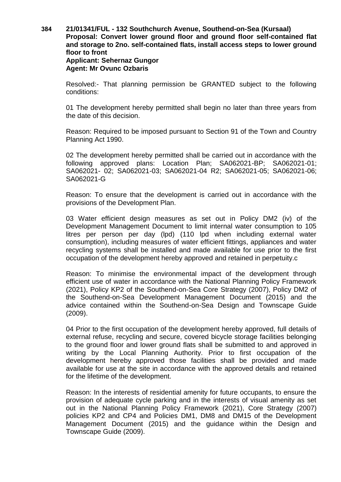## **384 21/01341/FUL - 132 Southchurch Avenue, Southend-on-Sea (Kursaal) Proposal: Convert lower ground floor and ground floor self-contained flat and storage to 2no. self-contained flats, install access steps to lower ground floor to front Applicant: Sehernaz Gungor Agent: Mr Ovunc Ozbaris**

Resolved:- That planning permission be GRANTED subject to the following conditions:

01 The development hereby permitted shall begin no later than three years from the date of this decision.

Reason: Required to be imposed pursuant to Section 91 of the Town and Country Planning Act 1990.

02 The development hereby permitted shall be carried out in accordance with the following approved plans: Location Plan; SA062021-BP; SA062021-01; SA062021- 02; SA062021-03; SA062021-04 R2; SA062021-05; SA062021-06; SA062021-G

Reason: To ensure that the development is carried out in accordance with the provisions of the Development Plan.

03 Water efficient design measures as set out in Policy DM2 (iv) of the Development Management Document to limit internal water consumption to 105 litres per person per day (lpd) (110 lpd when including external water consumption), including measures of water efficient fittings, appliances and water recycling systems shall be installed and made available for use prior to the first occupation of the development hereby approved and retained in perpetuity.c

Reason: To minimise the environmental impact of the development through efficient use of water in accordance with the National Planning Policy Framework (2021), Policy KP2 of the Southend-on-Sea Core Strategy (2007), Policy DM2 of the Southend-on-Sea Development Management Document (2015) and the advice contained within the Southend-on-Sea Design and Townscape Guide (2009).

04 Prior to the first occupation of the development hereby approved, full details of external refuse, recycling and secure, covered bicycle storage facilities belonging to the ground floor and lower ground flats shall be submitted to and approved in writing by the Local Planning Authority. Prior to first occupation of the development hereby approved those facilities shall be provided and made available for use at the site in accordance with the approved details and retained for the lifetime of the development.

Reason: In the interests of residential amenity for future occupants, to ensure the provision of adequate cycle parking and in the interests of visual amenity as set out in the National Planning Policy Framework (2021), Core Strategy (2007) policies KP2 and CP4 and Policies DM1, DM8 and DM15 of the Development Management Document (2015) and the guidance within the Design and Townscape Guide (2009).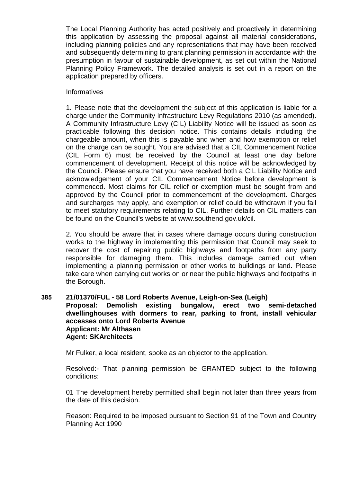The Local Planning Authority has acted positively and proactively in determining this application by assessing the proposal against all material considerations, including planning policies and any representations that may have been received and subsequently determining to grant planning permission in accordance with the presumption in favour of sustainable development, as set out within the National Planning Policy Framework. The detailed analysis is set out in a report on the application prepared by officers.

## **Informatives**

1. Please note that the development the subject of this application is liable for a charge under the Community Infrastructure Levy Regulations 2010 (as amended). A Community Infrastructure Levy (CIL) Liability Notice will be issued as soon as practicable following this decision notice. This contains details including the chargeable amount, when this is payable and when and how exemption or relief on the charge can be sought. You are advised that a CIL Commencement Notice (CIL Form 6) must be received by the Council at least one day before commencement of development. Receipt of this notice will be acknowledged by the Council. Please ensure that you have received both a CIL Liability Notice and acknowledgement of your CIL Commencement Notice before development is commenced. Most claims for CIL relief or exemption must be sought from and approved by the Council prior to commencement of the development. Charges and surcharges may apply, and exemption or relief could be withdrawn if you fail to meet statutory requirements relating to CIL. Further details on CIL matters can be found on the Council's website at www.southend.gov.uk/cil.

2. You should be aware that in cases where damage occurs during construction works to the highway in implementing this permission that Council may seek to recover the cost of repairing public highways and footpaths from any party responsible for damaging them. This includes damage carried out when implementing a planning permission or other works to buildings or land. Please take care when carrying out works on or near the public highways and footpaths in the Borough.

## **385 21/01370/FUL - 58 Lord Roberts Avenue, Leigh-on-Sea (Leigh) Proposal: Demolish existing bungalow, erect two semi-detached dwellinghouses with dormers to rear, parking to front, install vehicular accesses onto Lord Roberts Avenue Applicant: Mr Althasen Agent: SKArchitects**

Mr Fulker, a local resident, spoke as an objector to the application.

Resolved:- That planning permission be GRANTED subject to the following conditions:

01 The development hereby permitted shall begin not later than three years from the date of this decision.

Reason: Required to be imposed pursuant to Section 91 of the Town and Country Planning Act 1990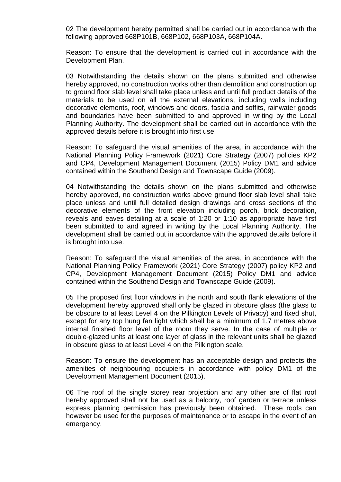02 The development hereby permitted shall be carried out in accordance with the following approved 668P101B, 668P102, 668P103A, 668P104A.

Reason: To ensure that the development is carried out in accordance with the Development Plan.

03 Notwithstanding the details shown on the plans submitted and otherwise hereby approved, no construction works other than demolition and construction up to ground floor slab level shall take place unless and until full product details of the materials to be used on all the external elevations, including walls including decorative elements, roof, windows and doors, fascia and soffits, rainwater goods and boundaries have been submitted to and approved in writing by the Local Planning Authority. The development shall be carried out in accordance with the approved details before it is brought into first use.

Reason: To safeguard the visual amenities of the area, in accordance with the National Planning Policy Framework (2021) Core Strategy (2007) policies KP2 and CP4, Development Management Document (2015) Policy DM1 and advice contained within the Southend Design and Townscape Guide (2009).

04 Notwithstanding the details shown on the plans submitted and otherwise hereby approved, no construction works above ground floor slab level shall take place unless and until full detailed design drawings and cross sections of the decorative elements of the front elevation including porch, brick decoration, reveals and eaves detailing at a scale of 1:20 or 1:10 as appropriate have first been submitted to and agreed in writing by the Local Planning Authority. The development shall be carried out in accordance with the approved details before it is brought into use.

Reason: To safeguard the visual amenities of the area, in accordance with the National Planning Policy Framework (2021) Core Strategy (2007) policy KP2 and CP4, Development Management Document (2015) Policy DM1 and advice contained within the Southend Design and Townscape Guide (2009).

05 The proposed first floor windows in the north and south flank elevations of the development hereby approved shall only be glazed in obscure glass (the glass to be obscure to at least Level 4 on the Pilkington Levels of Privacy) and fixed shut, except for any top hung fan light which shall be a minimum of 1.7 metres above internal finished floor level of the room they serve. In the case of multiple or double-glazed units at least one layer of glass in the relevant units shall be glazed in obscure glass to at least Level 4 on the Pilkington scale.

Reason: To ensure the development has an acceptable design and protects the amenities of neighbouring occupiers in accordance with policy DM1 of the Development Management Document (2015).

06 The roof of the single storey rear projection and any other are of flat roof hereby approved shall not be used as a balcony, roof garden or terrace unless express planning permission has previously been obtained. These roofs can however be used for the purposes of maintenance or to escape in the event of an emergency.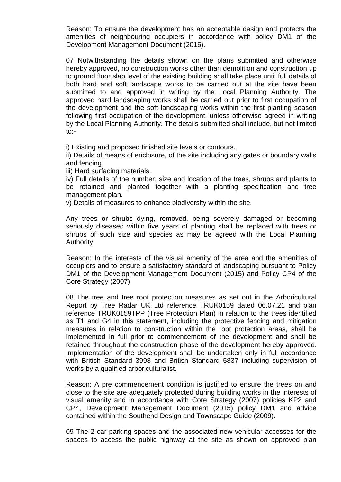Reason: To ensure the development has an acceptable design and protects the amenities of neighbouring occupiers in accordance with policy DM1 of the Development Management Document (2015).

07 Notwithstanding the details shown on the plans submitted and otherwise hereby approved, no construction works other than demolition and construction up to ground floor slab level of the existing building shall take place until full details of both hard and soft landscape works to be carried out at the site have been submitted to and approved in writing by the Local Planning Authority. The approved hard landscaping works shall be carried out prior to first occupation of the development and the soft landscaping works within the first planting season following first occupation of the development, unless otherwise agreed in writing by the Local Planning Authority. The details submitted shall include, but not limited to:-

i) Existing and proposed finished site levels or contours.

ii) Details of means of enclosure, of the site including any gates or boundary walls and fencing.

iii) Hard surfacing materials.

iv) Full details of the number, size and location of the trees, shrubs and plants to be retained and planted together with a planting specification and tree management plan.

v) Details of measures to enhance biodiversity within the site.

Any trees or shrubs dying, removed, being severely damaged or becoming seriously diseased within five years of planting shall be replaced with trees or shrubs of such size and species as may be agreed with the Local Planning Authority.

Reason: In the interests of the visual amenity of the area and the amenities of occupiers and to ensure a satisfactory standard of landscaping pursuant to Policy DM1 of the Development Management Document (2015) and Policy CP4 of the Core Strategy (2007)

08 The tree and tree root protection measures as set out in the Arboricultural Report by Tree Radar UK Ltd reference TRUK0159 dated 06.07.21 and plan reference TRUK0159TPP (Tree Protection Plan) in relation to the trees identified as T1 and G4 in this statement, including the protective fencing and mitigation measures in relation to construction within the root protection areas, shall be implemented in full prior to commencement of the development and shall be retained throughout the construction phase of the development hereby approved. Implementation of the development shall be undertaken only in full accordance with British Standard 3998 and British Standard 5837 including supervision of works by a qualified arboriculturalist.

Reason: A pre commencement condition is justified to ensure the trees on and close to the site are adequately protected during building works in the interests of visual amenity and in accordance with Core Strategy (2007) policies KP2 and CP4, Development Management Document (2015) policy DM1 and advice contained within the Southend Design and Townscape Guide (2009).

09 The 2 car parking spaces and the associated new vehicular accesses for the spaces to access the public highway at the site as shown on approved plan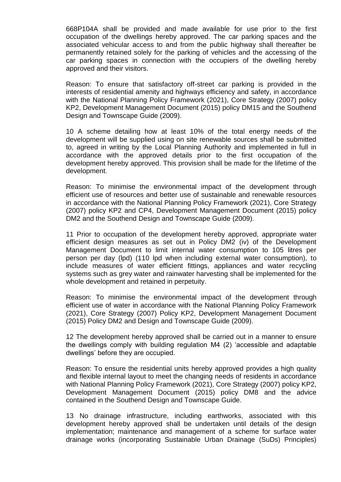668P104A shall be provided and made available for use prior to the first occupation of the dwellings hereby approved. The car parking spaces and the associated vehicular access to and from the public highway shall thereafter be permanently retained solely for the parking of vehicles and the accessing of the car parking spaces in connection with the occupiers of the dwelling hereby approved and their visitors.

Reason: To ensure that satisfactory off-street car parking is provided in the interests of residential amenity and highways efficiency and safety, in accordance with the National Planning Policy Framework (2021), Core Strategy (2007) policy KP2, Development Management Document (2015) policy DM15 and the Southend Design and Townscape Guide (2009).

10 A scheme detailing how at least 10% of the total energy needs of the development will be supplied using on site renewable sources shall be submitted to, agreed in writing by the Local Planning Authority and implemented in full in accordance with the approved details prior to the first occupation of the development hereby approved. This provision shall be made for the lifetime of the development.

Reason: To minimise the environmental impact of the development through efficient use of resources and better use of sustainable and renewable resources in accordance with the National Planning Policy Framework (2021), Core Strategy (2007) policy KP2 and CP4, Development Management Document (2015) policy DM2 and the Southend Design and Townscape Guide (2009).

11 Prior to occupation of the development hereby approved, appropriate water efficient design measures as set out in Policy DM2 (iv) of the Development Management Document to limit internal water consumption to 105 litres per person per day (lpd) (110 lpd when including external water consumption), to include measures of water efficient fittings, appliances and water recycling systems such as grey water and rainwater harvesting shall be implemented for the whole development and retained in perpetuity.

Reason: To minimise the environmental impact of the development through efficient use of water in accordance with the National Planning Policy Framework (2021), Core Strategy (2007) Policy KP2, Development Management Document (2015) Policy DM2 and Design and Townscape Guide (2009).

12 The development hereby approved shall be carried out in a manner to ensure the dwellings comply with building regulation M4 (2) 'accessible and adaptable dwellings' before they are occupied.

Reason: To ensure the residential units hereby approved provides a high quality and flexible internal layout to meet the changing needs of residents in accordance with National Planning Policy Framework (2021), Core Strategy (2007) policy KP2, Development Management Document (2015) policy DM8 and the advice contained in the Southend Design and Townscape Guide.

13 No drainage infrastructure, including earthworks, associated with this development hereby approved shall be undertaken until details of the design implementation; maintenance and management of a scheme for surface water drainage works (incorporating Sustainable Urban Drainage (SuDs) Principles)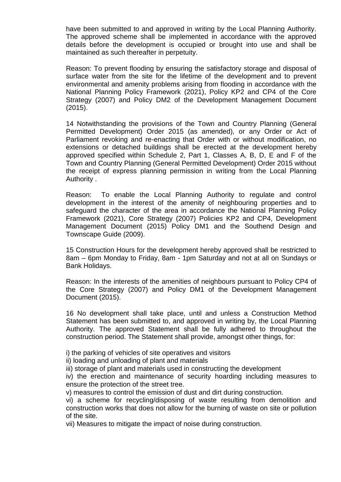have been submitted to and approved in writing by the Local Planning Authority. The approved scheme shall be implemented in accordance with the approved details before the development is occupied or brought into use and shall be maintained as such thereafter in perpetuity.

Reason: To prevent flooding by ensuring the satisfactory storage and disposal of surface water from the site for the lifetime of the development and to prevent environmental and amenity problems arising from flooding in accordance with the National Planning Policy Framework (2021), Policy KP2 and CP4 of the Core Strategy (2007) and Policy DM2 of the Development Management Document (2015).

14 Notwithstanding the provisions of the Town and Country Planning (General Permitted Development) Order 2015 (as amended), or any Order or Act of Parliament revoking and re-enacting that Order with or without modification, no extensions or detached buildings shall be erected at the development hereby approved specified within Schedule 2, Part 1, Classes A, B, D, E and F of the Town and Country Planning (General Permitted Development) Order 2015 without the receipt of express planning permission in writing from the Local Planning Authority .

Reason: To enable the Local Planning Authority to regulate and control development in the interest of the amenity of neighbouring properties and to safeguard the character of the area in accordance the National Planning Policy Framework (2021), Core Strategy (2007) Policies KP2 and CP4, Development Management Document (2015) Policy DM1 and the Southend Design and Townscape Guide (2009).

15 Construction Hours for the development hereby approved shall be restricted to 8am – 6pm Monday to Friday, 8am - 1pm Saturday and not at all on Sundays or Bank Holidays.

Reason: In the interests of the amenities of neighbours pursuant to Policy CP4 of the Core Strategy (2007) and Policy DM1 of the Development Management Document (2015).

16 No development shall take place, until and unless a Construction Method Statement has been submitted to, and approved in writing by, the Local Planning Authority. The approved Statement shall be fully adhered to throughout the construction period. The Statement shall provide, amongst other things, for:

i) the parking of vehicles of site operatives and visitors

ii) loading and unloading of plant and materials

iii) storage of plant and materials used in constructing the development

iv) the erection and maintenance of security hoarding including measures to ensure the protection of the street tree.

v) measures to control the emission of dust and dirt during construction.

vi) a scheme for recycling/disposing of waste resulting from demolition and construction works that does not allow for the burning of waste on site or pollution of the site.

vii) Measures to mitigate the impact of noise during construction.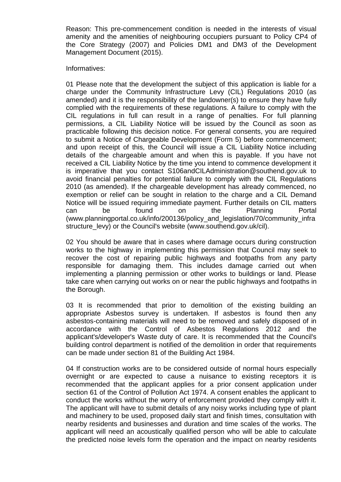Reason: This pre-commencement condition is needed in the interests of visual amenity and the amenities of neighbouring occupiers pursuant to Policy CP4 of the Core Strategy (2007) and Policies DM1 and DM3 of the Development Management Document (2015).

Informatives:

01 Please note that the development the subject of this application is liable for a charge under the Community Infrastructure Levy (CIL) Regulations 2010 (as amended) and it is the responsibility of the landowner(s) to ensure they have fully complied with the requirements of these regulations. A failure to comply with the CIL regulations in full can result in a range of penalties. For full planning permissions, a CIL Liability Notice will be issued by the Council as soon as practicable following this decision notice. For general consents, you are required to submit a Notice of Chargeable Development (Form 5) before commencement; and upon receipt of this, the Council will issue a CIL Liability Notice including details of the chargeable amount and when this is payable. If you have not received a CIL Liability Notice by the time you intend to commence development it is imperative that you contact S106andCILAdministration@southend.gov.uk to avoid financial penalties for potential failure to comply with the CIL Regulations 2010 (as amended). If the chargeable development has already commenced, no exemption or relief can be sought in relation to the charge and a CIL Demand Notice will be issued requiring immediate payment. Further details on CIL matters can be found on the Planning Portal (www.planningportal.co.uk/info/200136/policy\_and\_legislation/70/community\_infra structure\_levy) or the Council's website (www.southend.gov.uk/cil).

02 You should be aware that in cases where damage occurs during construction works to the highway in implementing this permission that Council may seek to recover the cost of repairing public highways and footpaths from any party responsible for damaging them. This includes damage carried out when implementing a planning permission or other works to buildings or land. Please take care when carrying out works on or near the public highways and footpaths in the Borough.

03 It is recommended that prior to demolition of the existing building an appropriate Asbestos survey is undertaken. If asbestos is found then any asbestos-containing materials will need to be removed and safely disposed of in accordance with the Control of Asbestos Regulations 2012 and the applicant's/developer's Waste duty of care. It is recommended that the Council's building control department is notified of the demolition in order that requirements can be made under section 81 of the Building Act 1984.

04 If construction works are to be considered outside of normal hours especially overnight or are expected to cause a nuisance to existing receptors it is recommended that the applicant applies for a prior consent application under section 61 of the Control of Pollution Act 1974. A consent enables the applicant to conduct the works without the worry of enforcement provided they comply with it. The applicant will have to submit details of any noisy works including type of plant and machinery to be used, proposed daily start and finish times, consultation with nearby residents and businesses and duration and time scales of the works. The applicant will need an acoustically qualified person who will be able to calculate the predicted noise levels form the operation and the impact on nearby residents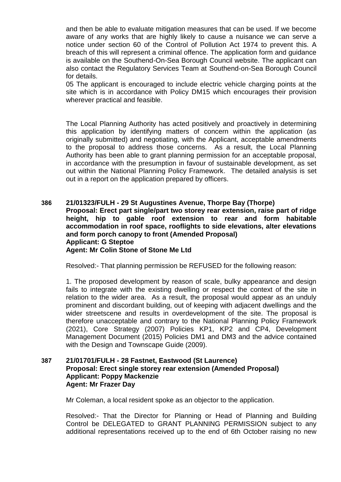and then be able to evaluate mitigation measures that can be used. If we become aware of any works that are highly likely to cause a nuisance we can serve a notice under section 60 of the Control of Pollution Act 1974 to prevent this. A breach of this will represent a criminal offence. The application form and guidance is available on the Southend-On-Sea Borough Council website. The applicant can also contact the Regulatory Services Team at Southend-on-Sea Borough Council for details.

05 The applicant is encouraged to include electric vehicle charging points at the site which is in accordance with Policy DM15 which encourages their provision wherever practical and feasible.

The Local Planning Authority has acted positively and proactively in determining this application by identifying matters of concern within the application (as originally submitted) and negotiating, with the Applicant, acceptable amendments to the proposal to address those concerns. As a result, the Local Planning Authority has been able to grant planning permission for an acceptable proposal, in accordance with the presumption in favour of sustainable development, as set out within the National Planning Policy Framework. The detailed analysis is set out in a report on the application prepared by officers.

## **386 21/01323/FULH - 29 St Augustines Avenue, Thorpe Bay (Thorpe) Proposal: Erect part single/part two storey rear extension, raise part of ridge height, hip to gable roof extension to rear and form habitable accommodation in roof space, rooflights to side elevations, alter elevations and form porch canopy to front (Amended Proposal) Applicant: G Steptoe Agent: Mr Colin Stone of Stone Me Ltd**

Resolved:- That planning permission be REFUSED for the following reason:

1. The proposed development by reason of scale, bulky appearance and design fails to integrate with the existing dwelling or respect the context of the site in relation to the wider area. As a result, the proposal would appear as an unduly prominent and discordant building, out of keeping with adjacent dwellings and the wider streetscene and results in overdevelopment of the site. The proposal is therefore unacceptable and contrary to the National Planning Policy Framework (2021), Core Strategy (2007) Policies KP1, KP2 and CP4, Development Management Document (2015) Policies DM1 and DM3 and the advice contained with the Design and Townscape Guide (2009).

## **387 21/01701/FULH - 28 Fastnet, Eastwood (St Laurence) Proposal: Erect single storey rear extension (Amended Proposal) Applicant: Poppy Mackenzie Agent: Mr Frazer Day**

Mr Coleman, a local resident spoke as an objector to the application.

Resolved:- That the Director for Planning or Head of Planning and Building Control be DELEGATED to GRANT PLANNING PERMISSION subject to any additional representations received up to the end of 6th October raising no new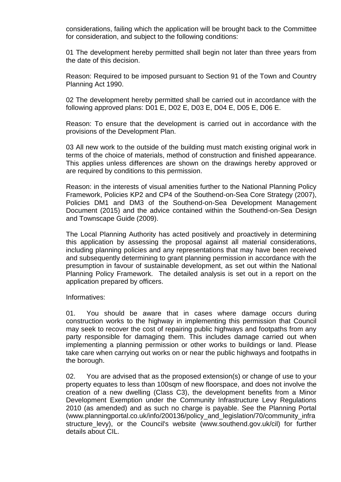considerations, failing which the application will be brought back to the Committee for consideration, and subject to the following conditions:

01 The development hereby permitted shall begin not later than three years from the date of this decision.

Reason: Required to be imposed pursuant to Section 91 of the Town and Country Planning Act 1990.

02 The development hereby permitted shall be carried out in accordance with the following approved plans: D01 E, D02 E, D03 E, D04 E, D05 E, D06 E.

Reason: To ensure that the development is carried out in accordance with the provisions of the Development Plan.

03 All new work to the outside of the building must match existing original work in terms of the choice of materials, method of construction and finished appearance. This applies unless differences are shown on the drawings hereby approved or are required by conditions to this permission.

Reason: in the interests of visual amenities further to the National Planning Policy Framework, Policies KP2 and CP4 of the Southend-on-Sea Core Strategy (2007), Policies DM1 and DM3 of the Southend-on-Sea Development Management Document (2015) and the advice contained within the Southend-on-Sea Design and Townscape Guide (2009).

The Local Planning Authority has acted positively and proactively in determining this application by assessing the proposal against all material considerations, including planning policies and any representations that may have been received and subsequently determining to grant planning permission in accordance with the presumption in favour of sustainable development, as set out within the National Planning Policy Framework. The detailed analysis is set out in a report on the application prepared by officers.

Informatives:

01. You should be aware that in cases where damage occurs during construction works to the highway in implementing this permission that Council may seek to recover the cost of repairing public highways and footpaths from any party responsible for damaging them. This includes damage carried out when implementing a planning permission or other works to buildings or land. Please take care when carrying out works on or near the public highways and footpaths in the borough.

02. You are advised that as the proposed extension(s) or change of use to your property equates to less than 100sqm of new floorspace, and does not involve the creation of a new dwelling (Class C3), the development benefits from a Minor Development Exemption under the Community Infrastructure Levy Regulations 2010 (as amended) and as such no charge is payable. See the Planning Portal (www.planningportal.co.uk/info/200136/policy\_and\_legislation/70/community\_infra structure levy), or the Council's website (www.southend.gov.uk/cil) for further details about CIL.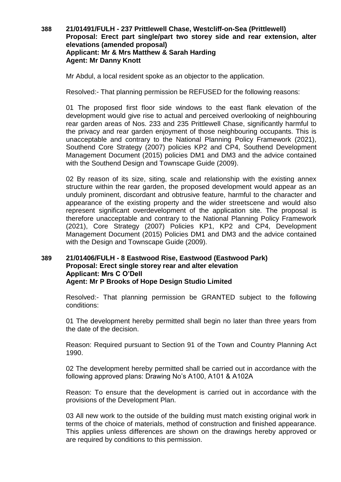## **388 21/01491/FULH - 237 Prittlewell Chase, Westcliff-on-Sea (Prittlewell) Proposal: Erect part single/part two storey side and rear extension, alter elevations (amended proposal) Applicant: Mr & Mrs Matthew & Sarah Harding Agent: Mr Danny Knott**

Mr Abdul, a local resident spoke as an objector to the application.

Resolved:- That planning permission be REFUSED for the following reasons:

01 The proposed first floor side windows to the east flank elevation of the development would give rise to actual and perceived overlooking of neighbouring rear garden areas of Nos. 233 and 235 Prittlewell Chase, significantly harmful to the privacy and rear garden enjoyment of those neighbouring occupants. This is unacceptable and contrary to the National Planning Policy Framework (2021), Southend Core Strategy (2007) policies KP2 and CP4, Southend Development Management Document (2015) policies DM1 and DM3 and the advice contained with the Southend Design and Townscape Guide (2009).

02 By reason of its size, siting, scale and relationship with the existing annex structure within the rear garden, the proposed development would appear as an unduly prominent, discordant and obtrusive feature, harmful to the character and appearance of the existing property and the wider streetscene and would also represent significant overdevelopment of the application site. The proposal is therefore unacceptable and contrary to the National Planning Policy Framework (2021), Core Strategy (2007) Policies KP1, KP2 and CP4, Development Management Document (2015) Policies DM1 and DM3 and the advice contained with the Design and Townscape Guide (2009).

## **389 21/01406/FULH - 8 Eastwood Rise, Eastwood (Eastwood Park) Proposal: Erect single storey rear and alter elevation Applicant: Mrs C O'Dell Agent: Mr P Brooks of Hope Design Studio Limited**

Resolved:- That planning permission be GRANTED subject to the following conditions:

01 The development hereby permitted shall begin no later than three years from the date of the decision.

Reason: Required pursuant to Section 91 of the Town and Country Planning Act 1990.

02 The development hereby permitted shall be carried out in accordance with the following approved plans: Drawing No's A100, A101 & A102A

Reason: To ensure that the development is carried out in accordance with the provisions of the Development Plan.

03 All new work to the outside of the building must match existing original work in terms of the choice of materials, method of construction and finished appearance. This applies unless differences are shown on the drawings hereby approved or are required by conditions to this permission.